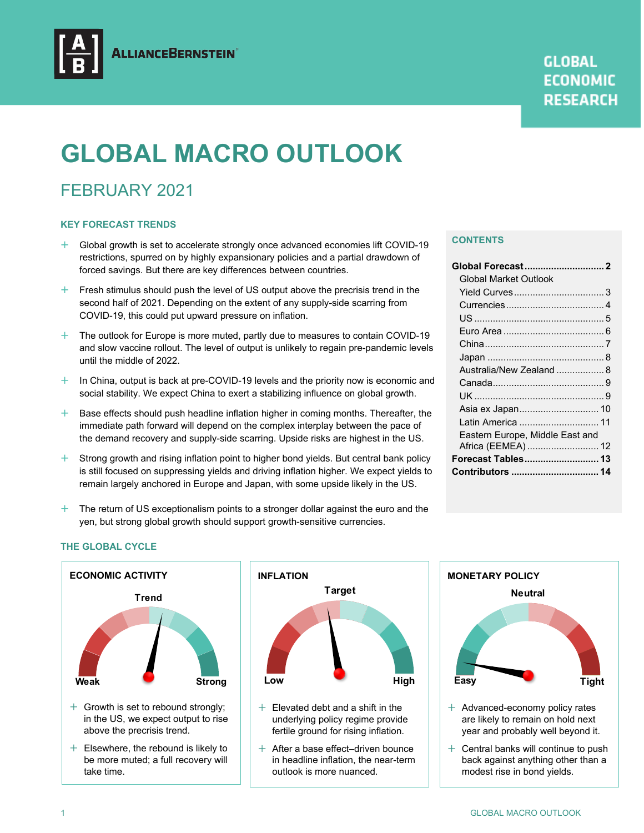

# **GLOBAL MACRO OUTLOOK**

## FEBRUARY 2021

#### **KEY FORECAST TRENDS**

- $+$  Global growth is set to accelerate strongly once advanced economies lift COVID-19 restrictions, spurred on by highly expansionary policies and a partial drawdown of forced savings. But there are key differences between countries.
- $+$  Fresh stimulus should push the level of US output above the precrisis trend in the second half of 2021. Depending on the extent of any supply-side scarring from COVID-19, this could put upward pressure on inflation.
- $+$  The outlook for Europe is more muted, partly due to measures to contain COVID-19 and slow vaccine rollout. The level of output is unlikely to regain pre-pandemic levels until the middle of 2022.
- $+$  In China, output is back at pre-COVID-19 levels and the priority now is economic and social stability. We expect China to exert a stabilizing influence on global growth.
- $+$  Base effects should push headline inflation higher in coming months. Thereafter, the immediate path forward will depend on the complex interplay between the pace of the demand recovery and supply-side scarring. Upside risks are highest in the US.
- $+$  Strong growth and rising inflation point to higher bond yields. But central bank policy is still focused on suppressing yields and driving inflation higher. We expect yields to remain largely anchored in Europe and Japan, with some upside likely in the US.
- $+$  The return of US exceptionalism points to a stronger dollar against the euro and the yen, but strong global growth should support growth-sensitive currencies.

#### **CONTENTS**

| Global Market Outlook           |  |
|---------------------------------|--|
|                                 |  |
|                                 |  |
|                                 |  |
|                                 |  |
|                                 |  |
|                                 |  |
| Australia/New Zealand  8        |  |
|                                 |  |
|                                 |  |
| Asia ex Japan 10                |  |
| Latin America  11               |  |
| Eastern Europe, Middle East and |  |
| Africa (EEMEA) 12               |  |
| Forecast Tables 13              |  |
| Contributors  14                |  |
|                                 |  |

#### **THE GLOBAL CYCLE**





- $+$  Elevated debt and a shift in the underlying policy regime provide fertile ground for rising inflation.
- $+$  After a base effect–driven bounce in headline inflation, the near-term outlook is more nuanced.



- $+$  Advanced-economy policy rates are likely to remain on hold next year and probably well beyond it.
- $+$  Central banks will continue to push back against anything other than a modest rise in bond yields.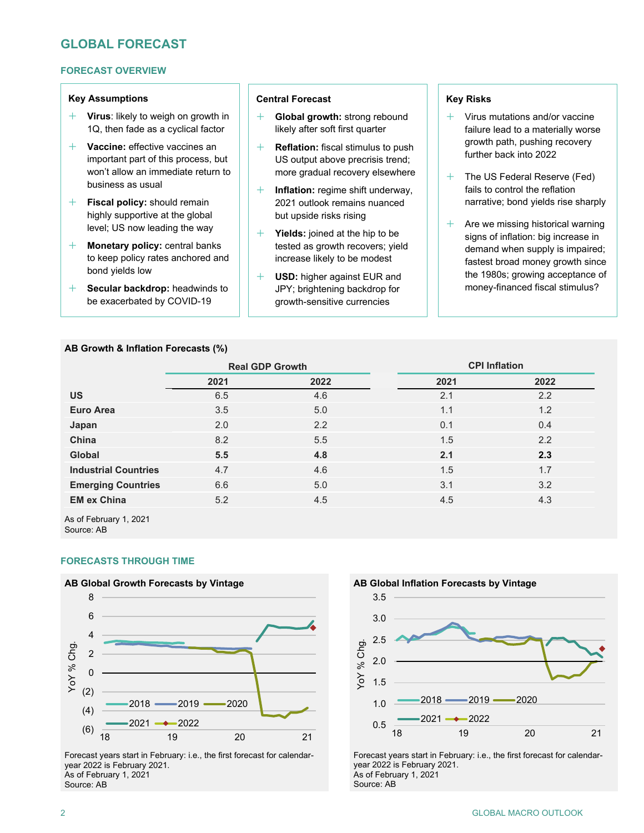## **GLOBAL FORECAST**

#### **FORECAST OVERVIEW**

#### **Key Assumptions**

- **Virus**: likely to weigh on growth in 1Q, then fade as a cyclical factor
- **Vaccine:** effective vaccines an important part of this process, but won't allow an immediate return to business as usual
- **Fiscal policy:** should remain highly supportive at the global level; US now leading the way
- **Monetary policy:** central banks to keep policy rates anchored and bond yields low
- **Secular backdrop:** headwinds to be exacerbated by COVID-19

#### **AB Growth & Inflation Forecasts (%)**

#### **Central Forecast**

- **Global growth:** strong rebound likely after soft first quarter
- **Reflation:** fiscal stimulus to push US output above precrisis trend; more gradual recovery elsewhere
- **Inflation:** regime shift underway, 2021 outlook remains nuanced but upside risks rising
- **Yields:** joined at the hip to be tested as growth recovers; yield increase likely to be modest
- **USD:** higher against EUR and JPY; brightening backdrop for growth-sensitive currencies

#### **Key Risks**

- $+$  Virus mutations and/or vaccine failure lead to a materially worse growth path, pushing recovery further back into 2022
- $+$  The US Federal Reserve (Fed) fails to control the reflation narrative; bond yields rise sharply
- $+$  Are we missing historical warning signs of inflation: big increase in demand when supply is impaired; fastest broad money growth since the 1980s; growing acceptance of money-financed fiscal stimulus?

|                             | <b>Real GDP Growth</b> |      | <b>CPI Inflation</b> |      |  |  |
|-----------------------------|------------------------|------|----------------------|------|--|--|
|                             | 2021                   | 2022 | 2021                 | 2022 |  |  |
| <b>US</b>                   | 6.5                    | 4.6  | 2.1                  | 2.2  |  |  |
| <b>Euro Area</b>            | 3.5                    | 5.0  | 1.1                  | 1.2  |  |  |
| Japan                       | 2.0                    | 2.2  | 0.1                  | 0.4  |  |  |
| China                       | 8.2                    | 5.5  | 1.5                  | 2.2  |  |  |
| Global                      | 5.5                    | 4.8  | 2.1                  | 2.3  |  |  |
| <b>Industrial Countries</b> | 4.7                    | 4.6  | 1.5                  | 1.7  |  |  |
| <b>Emerging Countries</b>   | 6.6                    | 5.0  | 3.1                  | 3.2  |  |  |
| <b>EM ex China</b>          | 5.2                    | 4.5  | 4.5                  | 4.3  |  |  |
|                             |                        |      |                      |      |  |  |

As of February 1, 2021 Source: AB

#### **FORECASTS THROUGH TIME**



Forecast years start in February: i.e., the first forecast for calendaryear 2022 is February 2021. As of February 1, 2021 Source: AB



Forecast years start in February: i.e., the first forecast for calendaryear 2022 is February 2021. As of February 1, 2021 Source: AB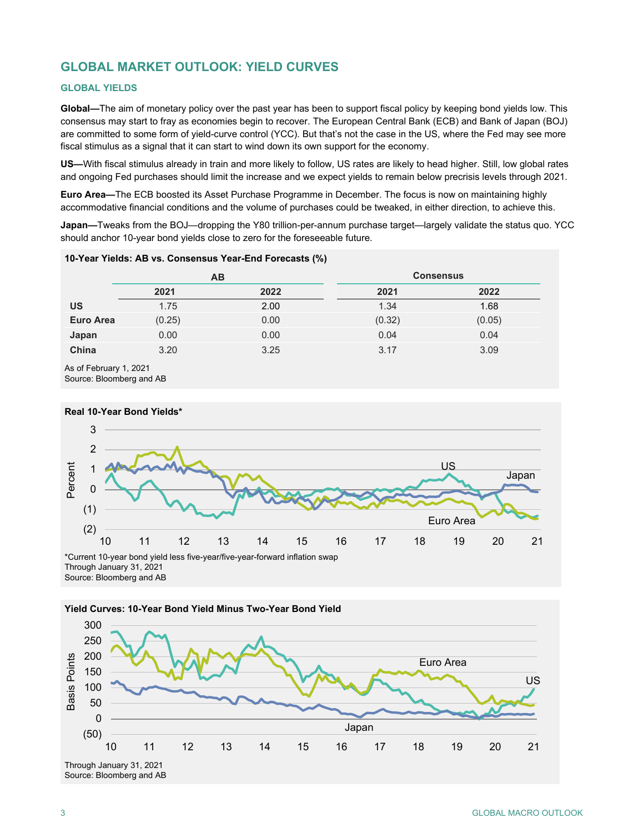## **GLOBAL MARKET OUTLOOK: YIELD CURVES**

#### **GLOBAL YIELDS**

**Global—**The aim of monetary policy over the past year has been to support fiscal policy by keeping bond yields low. This consensus may start to fray as economies begin to recover. The European Central Bank (ECB) and Bank of Japan (BOJ) are committed to some form of yield-curve control (YCC). But that's not the case in the US, where the Fed may see more fiscal stimulus as a signal that it can start to wind down its own support for the economy.

**US—**With fiscal stimulus already in train and more likely to follow, US rates are likely to head higher. Still, low global rates and ongoing Fed purchases should limit the increase and we expect yields to remain below precrisis levels through 2021.

**Euro Area—**The ECB boosted its Asset Purchase Programme in December. The focus is now on maintaining highly accommodative financial conditions and the volume of purchases could be tweaked, in either direction, to achieve this.

**Japan—**Tweaks from the BOJ—dropping the Y80 trillion-per-annum purchase target—largely validate the status quo. YCC should anchor 10-year bond yields close to zero for the foreseeable future.

|                  | 10-Year Yields: AB vs. Consensus Year-End Forecasts (%) |           |                  |        |  |  |  |  |  |  |  |  |
|------------------|---------------------------------------------------------|-----------|------------------|--------|--|--|--|--|--|--|--|--|
|                  |                                                         | <b>AB</b> | <b>Consensus</b> |        |  |  |  |  |  |  |  |  |
|                  | 2021                                                    | 2022      | 2021             | 2022   |  |  |  |  |  |  |  |  |
| US               | 1.75                                                    | 2.00      | 1.34             | 1.68   |  |  |  |  |  |  |  |  |
| <b>Euro Area</b> | (0.25)                                                  | 0.00      | (0.32)           | (0.05) |  |  |  |  |  |  |  |  |
| Japan            | 0.00                                                    | 0.00      | 0.04             | 0.04   |  |  |  |  |  |  |  |  |
| China            | 3.20                                                    | 3.25      | 3.17             | 3.09   |  |  |  |  |  |  |  |  |

As of February 1, 2021

Source: Bloomberg and AB





**Yield Curves: 10-Year Bond Yield Minus Two-Year Bond Yield**

Source: Bloomberg and AB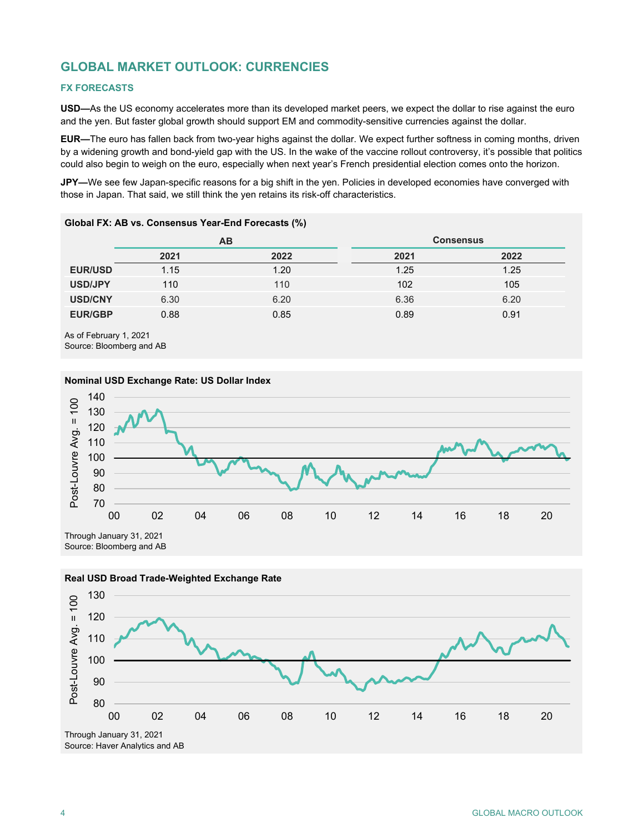## **GLOBAL MARKET OUTLOOK: CURRENCIES**

#### **FX FORECASTS**

**USD—**As the US economy accelerates more than its developed market peers, we expect the dollar to rise against the euro and the yen. But faster global growth should support EM and commodity-sensitive currencies against the dollar.

**EUR—**The euro has fallen back from two-year highs against the dollar. We expect further softness in coming months, driven by a widening growth and bond-yield gap with the US. In the wake of the vaccine rollout controversy, it's possible that politics could also begin to weigh on the euro, especially when next year's French presidential election comes onto the horizon.

**JPY—**We see few Japan-specific reasons for a big shift in the yen. Policies in developed economies have converged with those in Japan. That said, we still think the yen retains its risk-off characteristics.

|                |      | AB   | <b>Consensus</b> |      |
|----------------|------|------|------------------|------|
|                | 2021 | 2022 | 2021             | 2022 |
| <b>EUR/USD</b> | 1.15 | 1.20 | 1.25             | 1.25 |
| USD/JPY        | 110  | 110  | 102              | 105  |
| <b>USD/CNY</b> | 6.30 | 6.20 | 6.36             | 6.20 |
| <b>EUR/GBP</b> | 0.88 | 0.85 | 0.89             | 0.91 |

#### **Global FX: AB vs. Consensus Year-End Forecasts (%)**

As of February 1, 2021 Source: Bloomberg and AB







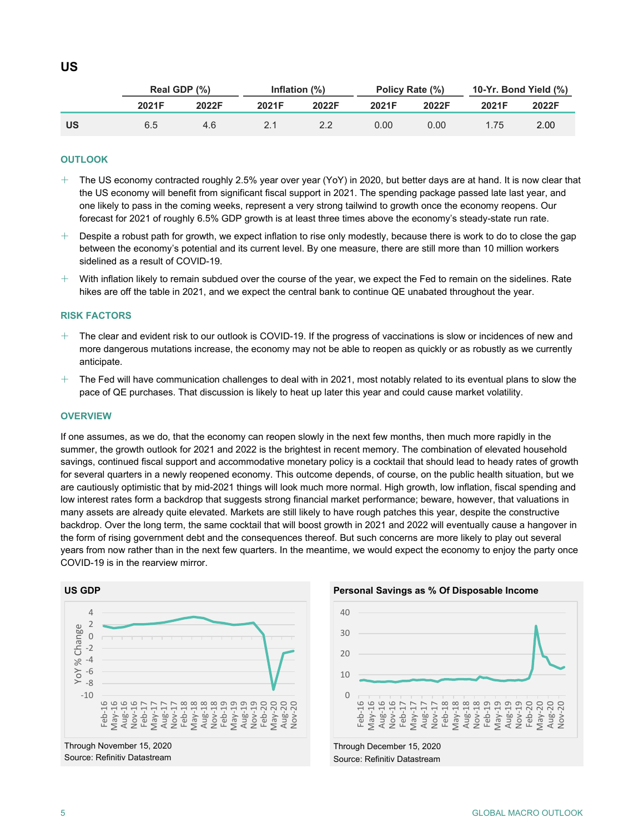|           | Real GDP (%) |       |       | Inflation $(\%)$ | Policy Rate (%) |       | 10-Yr. Bond Yield (%) |                   |
|-----------|--------------|-------|-------|------------------|-----------------|-------|-----------------------|-------------------|
|           | 2021F        | 2022F | 2021F | 2022F            | 2021F           | 2022F | 2021F                 | 2022F             |
| <b>US</b> | 6.5          | 4.6   |       |                  | 0.001           | 0.00  | 1.75                  | 2.00 <sub>1</sub> |

#### **OUTLOOK**

- $+$  The US economy contracted roughly 2.5% year over year (YoY) in 2020, but better days are at hand. It is now clear that the US economy will benefit from significant fiscal support in 2021. The spending package passed late last year, and one likely to pass in the coming weeks, represent a very strong tailwind to growth once the economy reopens. Our forecast for 2021 of roughly 6.5% GDP growth is at least three times above the economy's steady-state run rate.
- $+$  Despite a robust path for growth, we expect inflation to rise only modestly, because there is work to do to close the gap between the economy's potential and its current level. By one measure, there are still more than 10 million workers sidelined as a result of COVID-19.
- $+$  With inflation likely to remain subdued over the course of the year, we expect the Fed to remain on the sidelines. Rate hikes are off the table in 2021, and we expect the central bank to continue QE unabated throughout the year.

#### **RISK FACTORS**

- The clear and evident risk to our outlook is COVID-19. If the progress of vaccinations is slow or incidences of new and more dangerous mutations increase, the economy may not be able to reopen as quickly or as robustly as we currently anticipate.
- $+$  The Fed will have communication challenges to deal with in 2021, most notably related to its eventual plans to slow the pace of QE purchases. That discussion is likely to heat up later this year and could cause market volatility.

#### **OVERVIEW**

If one assumes, as we do, that the economy can reopen slowly in the next few months, then much more rapidly in the summer, the growth outlook for 2021 and 2022 is the brightest in recent memory. The combination of elevated household savings, continued fiscal support and accommodative monetary policy is a cocktail that should lead to heady rates of growth for several quarters in a newly reopened economy. This outcome depends, of course, on the public health situation, but we are cautiously optimistic that by mid-2021 things will look much more normal. High growth, low inflation, fiscal spending and low interest rates form a backdrop that suggests strong financial market performance; beware, however, that valuations in many assets are already quite elevated. Markets are still likely to have rough patches this year, despite the constructive backdrop. Over the long term, the same cocktail that will boost growth in 2021 and 2022 will eventually cause a hangover in the form of rising government debt and the consequences thereof. But such concerns are more likely to play out several years from now rather than in the next few quarters. In the meantime, we would expect the economy to enjoy the party once COVID-19 is in the rearview mirror.





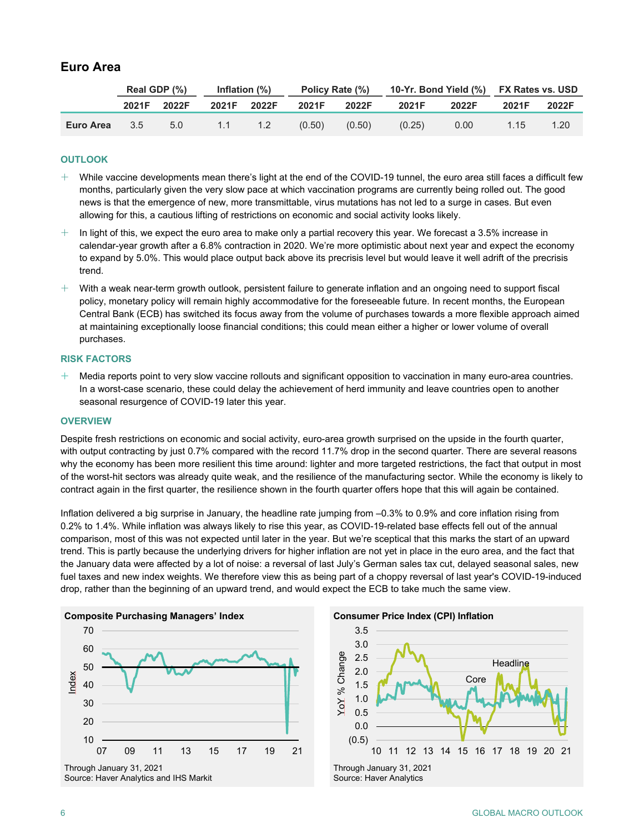## **Euro Area**

|           | Real GDP (%) |       | Inflation $(\%)$ |        | Policy Rate (%) |        | 10-Yr. Bond Yield (%) FX Rates vs. USD |       |       |       |
|-----------|--------------|-------|------------------|--------|-----------------|--------|----------------------------------------|-------|-------|-------|
|           | 2021F        | 2022F | 2021F            | 2022F  | 2021F           | 2022F  | 2021F                                  | 2022F | 2021F | 2022F |
| Euro Area | 3.5          | 5.0   | 1.1              | $-1.2$ | (0.50)          | (0.50) | (0.25)                                 | 0.00  | 1.15  | 1.20  |

#### **OUTLOOK**

- $+$  While vaccine developments mean there's light at the end of the COVID-19 tunnel, the euro area still faces a difficult few months, particularly given the very slow pace at which vaccination programs are currently being rolled out. The good news is that the emergence of new, more transmittable, virus mutations has not led to a surge in cases. But even allowing for this, a cautious lifting of restrictions on economic and social activity looks likely.
- In light of this, we expect the euro area to make only a partial recovery this year. We forecast a 3.5% increase in calendar-year growth after a 6.8% contraction in 2020. We're more optimistic about next year and expect the economy to expand by 5.0%. This would place output back above its precrisis level but would leave it well adrift of the precrisis trend.
- $+$  With a weak near-term growth outlook, persistent failure to generate inflation and an ongoing need to support fiscal policy, monetary policy will remain highly accommodative for the foreseeable future. In recent months, the European Central Bank (ECB) has switched its focus away from the volume of purchases towards a more flexible approach aimed at maintaining exceptionally loose financial conditions; this could mean either a higher or lower volume of overall purchases.

#### **RISK FACTORS**

 Media reports point to very slow vaccine rollouts and significant opposition to vaccination in many euro-area countries. In a worst-case scenario, these could delay the achievement of herd immunity and leave countries open to another seasonal resurgence of COVID-19 later this year.

#### **OVERVIEW**

Despite fresh restrictions on economic and social activity, euro-area growth surprised on the upside in the fourth quarter, with output contracting by just 0.7% compared with the record 11.7% drop in the second quarter. There are several reasons why the economy has been more resilient this time around: lighter and more targeted restrictions, the fact that output in most of the worst-hit sectors was already quite weak, and the resilience of the manufacturing sector. While the economy is likely to contract again in the first quarter, the resilience shown in the fourth quarter offers hope that this will again be contained.

Inflation delivered a big surprise in January, the headline rate jumping from –0.3% to 0.9% and core inflation rising from 0.2% to 1.4%. While inflation was always likely to rise this year, as COVID-19-related base effects fell out of the annual comparison, most of this was not expected until later in the year. But we're sceptical that this marks the start of an upward trend. This is partly because the underlying drivers for higher inflation are not yet in place in the euro area, and the fact that the January data were affected by a lot of noise: a reversal of last July's German sales tax cut, delayed seasonal sales, new fuel taxes and new index weights. We therefore view this as being part of a choppy reversal of last year's COVID-19-induced drop, rather than the beginning of an upward trend, and would expect the ECB to take much the same view.



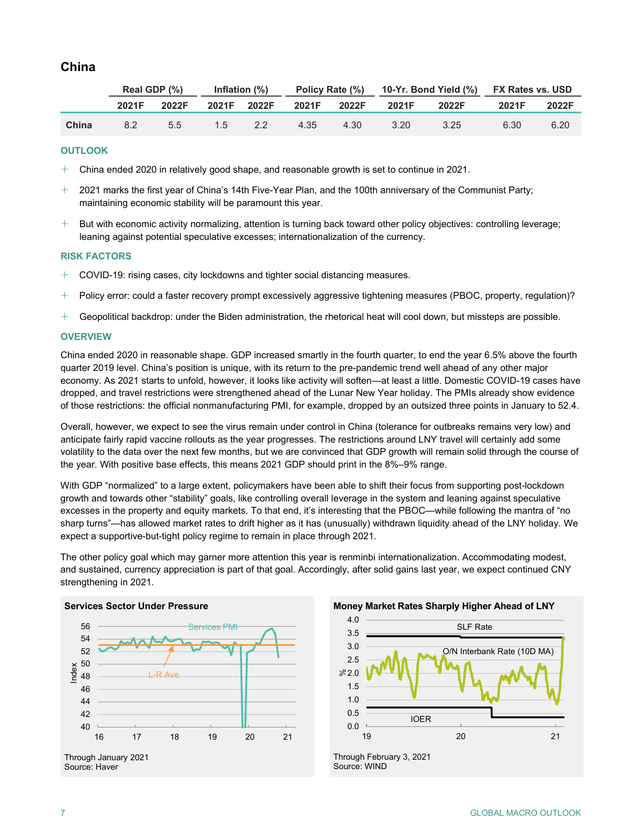## **China**

|       | Real GDP (%) |       | Inflation (%) |       |              |      | Policy Rate (%) 10-Yr. Bond Yield (%) FX Rates vs. USD |       |       |       |
|-------|--------------|-------|---------------|-------|--------------|------|--------------------------------------------------------|-------|-------|-------|
|       | 2021F        | 2022F | 2021F         | 2022F | 2021F  2022F |      | 2021F                                                  | 2022F | 2021F | 2022F |
| China | 82           | 55    | 1.5           | 2.2   | 4.35         | 4.30 | 3.20                                                   | 3.25  | 6.30  | 6.20  |

#### **OUTLOOK**

- $+$  China ended 2020 in relatively good shape, and reasonable growth is set to continue in 2021.
- $+$   $\,$  2021 marks the first year of China's 14th Five-Year Plan, and the 100th anniversary of the Communist Party; maintaining economic stability will be paramount this year.
- $+$  But with economic activity normalizing, attention is turning back toward other policy objectives: controlling leverage; leaning against potential speculative excesses; internationalization of the currency.

#### **RISK FACTORS**

- COVID-19: rising cases, city lockdowns and tighter social distancing measures.
- $+$  Policy error: could a faster recovery prompt excessively aggressive tightening measures (PBOC, property, regulation)?
- $+$  Geopolitical backdrop: under the Biden administration, the rhetorical heat will cool down, but missteps are possible.

#### **OVERVIEW**

China ended 2020 in reasonable shape. GDP increased smartly in the fourth quarter, to end the year 6.5% above the fourth quarter 2019 level. China's position is unique, with its return to the pre-pandemic trend well ahead of any other major economy. As 2021 starts to unfold, however, it looks like activity will soften—at least a little. Domestic COVID-19 cases have dropped, and travel restrictions were strengthened ahead of the Lunar New Year holiday. The PMIs already show evidence of those restrictions: the official nonmanufacturing PMI, for example, dropped by an outsized three points in January to 52.4.

Overall, however, we expect to see the virus remain under control in China (tolerance for outbreaks remains very low) and anticipate fairly rapid vaccine rollouts as the year progresses. The restrictions around LNY travel will certainly add some volatility to the data over the next few months, but we are convinced that GDP growth will remain solid through the course of the year. With positive base effects, this means 2021 GDP should print in the 8%–9% range.

With GDP "normalized" to a large extent, policymakers have been able to shift their focus from supporting post-lockdown growth and towards other "stability" goals, like controlling overall leverage in the system and leaning against speculative excesses in the property and equity markets. To that end, it's interesting that the PBOC—while following the mantra of "no sharp turns"—has allowed market rates to drift higher as it has (unusually) withdrawn liquidity ahead of the LNY holiday. We expect a supportive-but-tight policy regime to remain in place through 2021.

The other policy goal which may garner more attention this year is renminbi internationalization. Accommodating modest, and sustained, currency appreciation is part of that goal. Accordingly, after solid gains last year, we expect continued CNY strengthening in 2021.



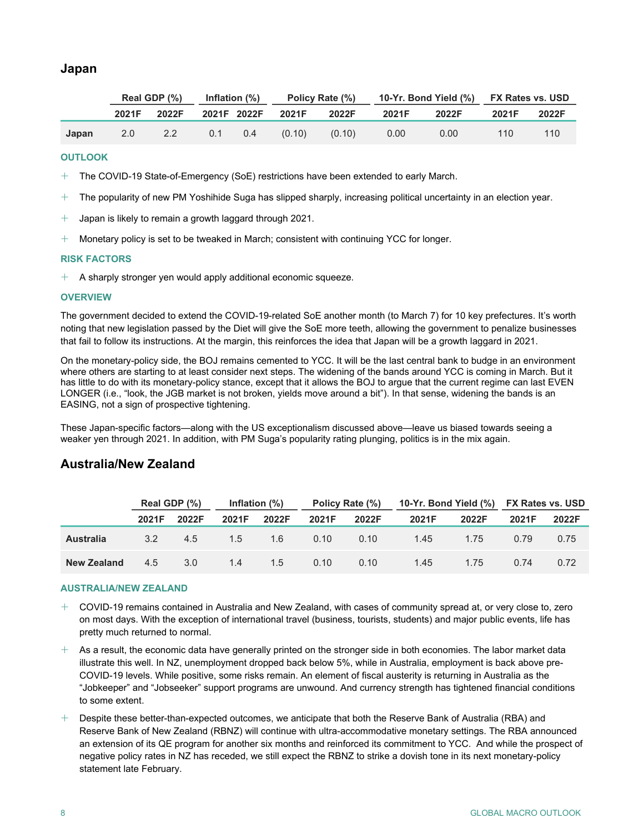## **Japan**

|       | Real GDP (%) |       | Inflation $(\%)$ |           | Policy Rate (%) |        | 10-Yr. Bond Yield (%) FX Rates vs. USD |       |       |       |
|-------|--------------|-------|------------------|-----------|-----------------|--------|----------------------------------------|-------|-------|-------|
|       | 2021F        | 2022F | 2021F 2022F      |           | 2021F           | 2022F  | 2021F                                  | 2022F | 2021F | 2022F |
| Japan | 2.0          | 2.2   |                  | $0.1$ 0.4 | (0.10)          | (0.10) | 0.00                                   | 0.00  | 110   | 110   |

#### **OUTLOOK**

- $+$  The COVID-19 State-of-Emergency (SoE) restrictions have been extended to early March.
- $+$  The popularity of new PM Yoshihide Suga has slipped sharply, increasing political uncertainty in an election year.
- $+$  Japan is likely to remain a growth laggard through 2021.
- $+$  Monetary policy is set to be tweaked in March; consistent with continuing YCC for longer.

#### **RISK FACTORS**

 $+$  A sharply stronger yen would apply additional economic squeeze.

#### **OVERVIEW**

The government decided to extend the COVID-19-related SoE another month (to March 7) for 10 key prefectures. It's worth noting that new legislation passed by the Diet will give the SoE more teeth, allowing the government to penalize businesses that fail to follow its instructions. At the margin, this reinforces the idea that Japan will be a growth laggard in 2021.

On the monetary-policy side, the BOJ remains cemented to YCC. It will be the last central bank to budge in an environment where others are starting to at least consider next steps. The widening of the bands around YCC is coming in March. But it has little to do with its monetary-policy stance, except that it allows the BOJ to argue that the current regime can last EVEN LONGER (i.e., "look, the JGB market is not broken, yields move around a bit"). In that sense, widening the bands is an EASING, not a sign of prospective tightening.

These Japan-specific factors—along with the US exceptionalism discussed above—leave us biased towards seeing a weaker yen through 2021. In addition, with PM Suga's popularity rating plunging, politics is in the mix again.

## **Australia/New Zealand**

|                  | Real GDP (%) |       | Inflation $(\%)$ |       | Policy Rate (%) |       |       |       | 10-Yr. Bond Yield (%) FX Rates vs. USD |       |  |
|------------------|--------------|-------|------------------|-------|-----------------|-------|-------|-------|----------------------------------------|-------|--|
|                  | 2021F        | 2022F | 2021F            | 2022F | 2021F           | 2022F | 2021F | 2022F | 2021F                                  | 2022F |  |
| <b>Australia</b> | 3.2          | 4.5   | 1.5              | 1.6   | 0.10            | 0.10  | 1.45  | 1.75  | 0.79                                   | 0.75  |  |
| New Zealand      | 4.5          | 3.0   | 1.4              | 1.5   | 0.10            | 0.10  | 1.45  | 1.75  | 0.74                                   | 0.72  |  |

#### **AUSTRALIA/NEW ZEALAND**

- $+$   $\,$  COVID-19 remains contained in Australia and New Zealand, with cases of community spread at, or very close to, zero on most days. With the exception of international travel (business, tourists, students) and major public events, life has pretty much returned to normal.
- $+$  As a result, the economic data have generally printed on the stronger side in both economies. The labor market data illustrate this well. In NZ, unemployment dropped back below 5%, while in Australia, employment is back above pre-COVID-19 levels. While positive, some risks remain. An element of fiscal austerity is returning in Australia as the "Jobkeeper" and "Jobseeker" support programs are unwound. And currency strength has tightened financial conditions to some extent.
- $+$  Despite these better-than-expected outcomes, we anticipate that both the Reserve Bank of Australia (RBA) and Reserve Bank of New Zealand (RBNZ) will continue with ultra-accommodative monetary settings. The RBA announced an extension of its QE program for another six months and reinforced its commitment to YCC. And while the prospect of negative policy rates in NZ has receded, we still expect the RBNZ to strike a dovish tone in its next monetary-policy statement late February.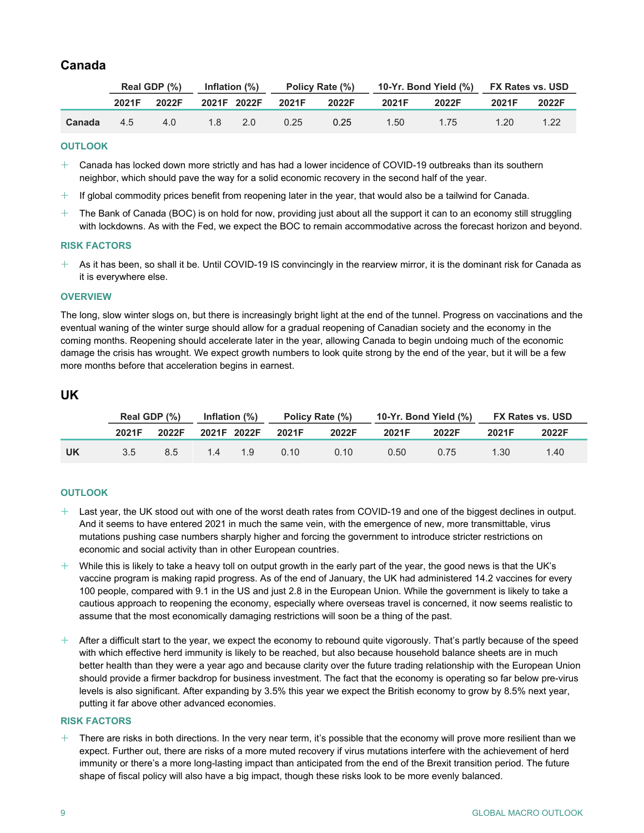## **Canada**

|        | Real GDP $(\%)$ Inflation $(\%)$ |       |           |  | Policy Rate (%)   |       | 10-Yr. Bond Yield (%) FX Rates vs. USD |       |       |       |
|--------|----------------------------------|-------|-----------|--|-------------------|-------|----------------------------------------|-------|-------|-------|
|        | 2021F                            | 2022F |           |  | 2021F 2022F 2021F | 2022F | 2021F                                  | 2022F | 2021F | 2022F |
| Canada | 4.5                              | 4.0   | $1.8$ 2.0 |  | 0.25              | 0.25  | 1.50                                   | 1.75  | 1.20  | 1.22  |

#### **OUTLOOK**

- $\pm$   $\,$  Canada has locked down more strictly and has had a lower incidence of COVID-19 outbreaks than its southern neighbor, which should pave the way for a solid economic recovery in the second half of the year.
- $+$  If global commodity prices benefit from reopening later in the year, that would also be a tailwind for Canada.
- $+$  The Bank of Canada (BOC) is on hold for now, providing just about all the support it can to an economy still struggling with lockdowns. As with the Fed, we expect the BOC to remain accommodative across the forecast horizon and beyond.

#### **RISK FACTORS**

 $+$  As it has been, so shall it be. Until COVID-19 IS convincingly in the rearview mirror, it is the dominant risk for Canada as it is everywhere else.

#### **OVERVIEW**

The long, slow winter slogs on, but there is increasingly bright light at the end of the tunnel. Progress on vaccinations and the eventual waning of the winter surge should allow for a gradual reopening of Canadian society and the economy in the coming months. Reopening should accelerate later in the year, allowing Canada to begin undoing much of the economic damage the crisis has wrought. We expect growth numbers to look quite strong by the end of the year, but it will be a few more months before that acceleration begins in earnest.

#### **UK**

|      |               | Real GDP (%) | Inflation (%) |     | Policy Rate (%) |       | 10-Yr. Bond Yield (%) FX Rates vs. USD |       |       |       |
|------|---------------|--------------|---------------|-----|-----------------|-------|----------------------------------------|-------|-------|-------|
|      | 2021F         | 2022F        | 2021F 2022F   |     | 2021F           | 2022F | 2021F                                  | 2022F | 2021F | 2022F |
| . UK | $3.5^{\circ}$ | 8.5          | 14            | 1 Q | 0.10            | 0.10  | 0.50                                   | 0.75  | 1.30  | 1.40  |

#### **OUTLOOK**

- $+$  Last year, the UK stood out with one of the worst death rates from COVID-19 and one of the biggest declines in output. And it seems to have entered 2021 in much the same vein, with the emergence of new, more transmittable, virus mutations pushing case numbers sharply higher and forcing the government to introduce stricter restrictions on economic and social activity than in other European countries.
- $+$  While this is likely to take a heavy toll on output growth in the early part of the year, the good news is that the UK's vaccine program is making rapid progress. As of the end of January, the UK had administered 14.2 vaccines for every 100 people, compared with 9.1 in the US and just 2.8 in the European Union. While the government is likely to take a cautious approach to reopening the economy, especially where overseas travel is concerned, it now seems realistic to assume that the most economically damaging restrictions will soon be a thing of the past.
- $+$  After a difficult start to the year, we expect the economy to rebound quite vigorously. That's partly because of the speed with which effective herd immunity is likely to be reached, but also because household balance sheets are in much better health than they were a year ago and because clarity over the future trading relationship with the European Union should provide a firmer backdrop for business investment. The fact that the economy is operating so far below pre-virus levels is also significant. After expanding by 3.5% this year we expect the British economy to grow by 8.5% next year, putting it far above other advanced economies.

#### **RISK FACTORS**

 $+$  There are risks in both directions. In the very near term, it's possible that the economy will prove more resilient than we expect. Further out, there are risks of a more muted recovery if virus mutations interfere with the achievement of herd immunity or there's a more long-lasting impact than anticipated from the end of the Brexit transition period. The future shape of fiscal policy will also have a big impact, though these risks look to be more evenly balanced.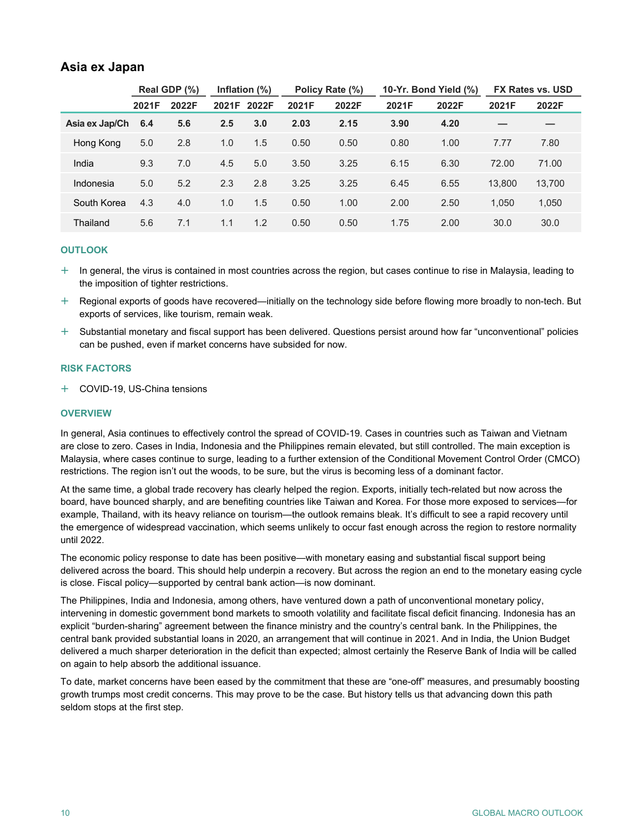### **Asia ex Japan**

|                |       | Real GDP (%) | Inflation $(\%)$ |     | Policy Rate (%) |       | 10-Yr. Bond Yield (%) |       | <b>FX Rates vs. USD</b> |        |
|----------------|-------|--------------|------------------|-----|-----------------|-------|-----------------------|-------|-------------------------|--------|
|                | 2021F | 2022F        | 2021F 2022F      |     | 2021F           | 2022F | 2021F                 | 2022F | 2021F                   | 2022F  |
| Asia ex Jap/Ch | 6.4   | 5.6          | 2.5              | 3.0 | 2.03            | 2.15  | 3.90                  | 4.20  |                         |        |
| Hong Kong      | 5.0   | 2.8          | 1.0              | 1.5 | 0.50            | 0.50  | 0.80                  | 1.00  | 7.77                    | 7.80   |
| India          | 9.3   | 7.0          | 4.5              | 5.0 | 3.50            | 3.25  | 6.15                  | 6.30  | 72.00                   | 71.00  |
| Indonesia      | 5.0   | 5.2          | 2.3              | 2.8 | 3.25            | 3.25  | 6.45                  | 6.55  | 13.800                  | 13,700 |
| South Korea    | 4.3   | 4.0          | 1.0              | 1.5 | 0.50            | 1.00  | 2.00                  | 2.50  | 1.050                   | 1,050  |
| Thailand       | 5.6   | 7.1          | 1.1              | 1.2 | 0.50            | 0.50  | 1.75                  | 2.00  | 30.0                    | 30.0   |

#### **OUTLOOK**

- $+$  In general, the virus is contained in most countries across the region, but cases continue to rise in Malaysia, leading to the imposition of tighter restrictions.
- Regional exports of goods have recovered—initially on the technology side before flowing more broadly to non-tech. But exports of services, like tourism, remain weak.
- Substantial monetary and fiscal support has been delivered. Questions persist around how far "unconventional" policies can be pushed, even if market concerns have subsided for now.

#### **RISK FACTORS**

COVID-19, US-China tensions

#### **OVERVIEW**

In general, Asia continues to effectively control the spread of COVID-19. Cases in countries such as Taiwan and Vietnam are close to zero. Cases in India, Indonesia and the Philippines remain elevated, but still controlled. The main exception is Malaysia, where cases continue to surge, leading to a further extension of the Conditional Movement Control Order (CMCO) restrictions. The region isn't out the woods, to be sure, but the virus is becoming less of a dominant factor.

At the same time, a global trade recovery has clearly helped the region. Exports, initially tech-related but now across the board, have bounced sharply, and are benefiting countries like Taiwan and Korea. For those more exposed to services—for example, Thailand, with its heavy reliance on tourism—the outlook remains bleak. It's difficult to see a rapid recovery until the emergence of widespread vaccination, which seems unlikely to occur fast enough across the region to restore normality until 2022.

The economic policy response to date has been positive—with monetary easing and substantial fiscal support being delivered across the board. This should help underpin a recovery. But across the region an end to the monetary easing cycle is close. Fiscal policy—supported by central bank action—is now dominant.

The Philippines, India and Indonesia, among others, have ventured down a path of unconventional monetary policy, intervening in domestic government bond markets to smooth volatility and facilitate fiscal deficit financing. Indonesia has an explicit "burden-sharing" agreement between the finance ministry and the country's central bank. In the Philippines, the central bank provided substantial loans in 2020, an arrangement that will continue in 2021. And in India, the Union Budget delivered a much sharper deterioration in the deficit than expected; almost certainly the Reserve Bank of India will be called on again to help absorb the additional issuance.

To date, market concerns have been eased by the commitment that these are "one-off" measures, and presumably boosting growth trumps most credit concerns. This may prove to be the case. But history tells us that advancing down this path seldom stops at the first step.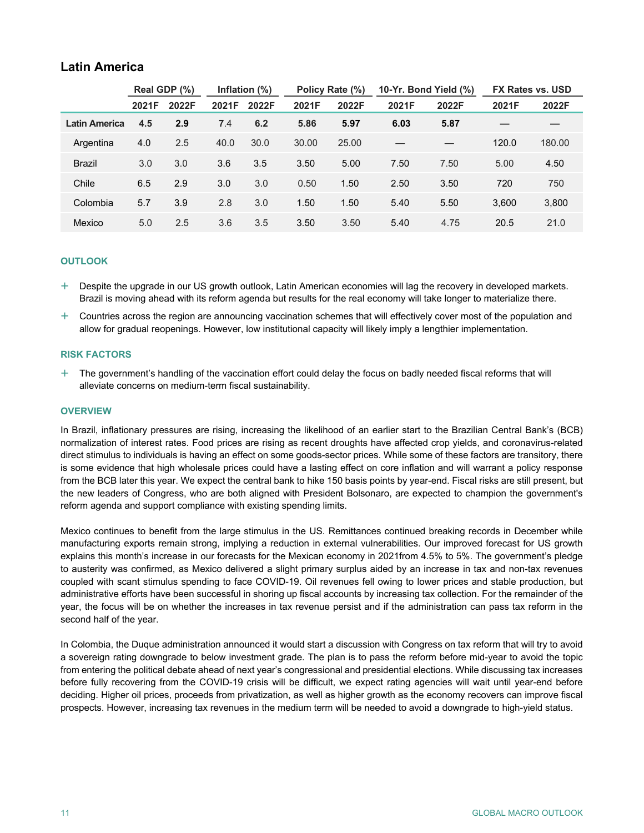## **Latin America**

|                      | Real GDP (%) |       | Inflation $(\%)$ |       | Policy Rate (%) |       | 10-Yr. Bond Yield (%) |       | FX Rates vs. USD |        |
|----------------------|--------------|-------|------------------|-------|-----------------|-------|-----------------------|-------|------------------|--------|
|                      | 2021F        | 2022F | 2021F            | 2022F | 2021F           | 2022F | 2021F                 | 2022F | 2021F            | 2022F  |
| <b>Latin America</b> | 4.5          | 2.9   | 7.4              | 6.2   | 5.86            | 5.97  | 6.03                  | 5.87  |                  |        |
| Argentina            | 4.0          | 2.5   | 40.0             | 30.0  | 30.00           | 25.00 |                       |       | 120.0            | 180.00 |
| <b>Brazil</b>        | 3.0          | 3.0   | 3.6              | 3.5   | 3.50            | 5.00  | 7.50                  | 7.50  | 5.00             | 4.50   |
| Chile                | 6.5          | 2.9   | 3.0              | 3.0   | 0.50            | 1.50  | 2.50                  | 3.50  | 720              | 750    |
| Colombia             | 5.7          | 3.9   | 2.8              | 3.0   | 1.50            | 1.50  | 5.40                  | 5.50  | 3.600            | 3,800  |
| Mexico               | 5.0          | 2.5   | 3.6              | 3.5   | 3.50            | 3.50  | 5.40                  | 4.75  | 20.5             | 21.0   |

#### **OUTLOOK**

 Despite the upgrade in our US growth outlook, Latin American economies will lag the recovery in developed markets. Brazil is moving ahead with its reform agenda but results for the real economy will take longer to materialize there.

 $+$  Countries across the region are announcing vaccination schemes that will effectively cover most of the population and allow for gradual reopenings. However, low institutional capacity will likely imply a lengthier implementation.

#### **RISK FACTORS**

 $+$  The government's handling of the vaccination effort could delay the focus on badly needed fiscal reforms that will alleviate concerns on medium-term fiscal sustainability.

#### **OVERVIEW**

In Brazil, inflationary pressures are rising, increasing the likelihood of an earlier start to the Brazilian Central Bank's (BCB) normalization of interest rates. Food prices are rising as recent droughts have affected crop yields, and coronavirus-related direct stimulus to individuals is having an effect on some goods-sector prices. While some of these factors are transitory, there is some evidence that high wholesale prices could have a lasting effect on core inflation and will warrant a policy response from the BCB later this year. We expect the central bank to hike 150 basis points by year-end. Fiscal risks are still present, but the new leaders of Congress, who are both aligned with President Bolsonaro, are expected to champion the government's reform agenda and support compliance with existing spending limits.

Mexico continues to benefit from the large stimulus in the US. Remittances continued breaking records in December while manufacturing exports remain strong, implying a reduction in external vulnerabilities. Our improved forecast for US growth explains this month's increase in our forecasts for the Mexican economy in 2021from 4.5% to 5%. The government's pledge to austerity was confirmed, as Mexico delivered a slight primary surplus aided by an increase in tax and non-tax revenues coupled with scant stimulus spending to face COVID-19. Oil revenues fell owing to lower prices and stable production, but administrative efforts have been successful in shoring up fiscal accounts by increasing tax collection. For the remainder of the year, the focus will be on whether the increases in tax revenue persist and if the administration can pass tax reform in the second half of the year.

In Colombia, the Duque administration announced it would start a discussion with Congress on tax reform that will try to avoid a sovereign rating downgrade to below investment grade. The plan is to pass the reform before mid-year to avoid the topic from entering the political debate ahead of next year's congressional and presidential elections. While discussing tax increases before fully recovering from the COVID-19 crisis will be difficult, we expect rating agencies will wait until year-end before deciding. Higher oil prices, proceeds from privatization, as well as higher growth as the economy recovers can improve fiscal prospects. However, increasing tax revenues in the medium term will be needed to avoid a downgrade to high-yield status.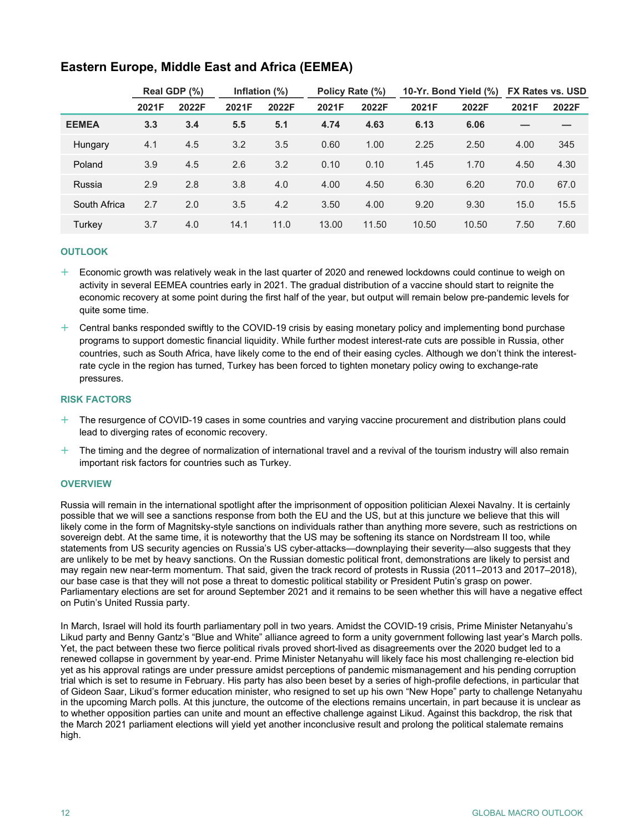|              | Real GDP (%) |       | Inflation $(\%)$ |       | Policy Rate (%) |       | 10-Yr. Bond Yield (%) |       | <b>FX Rates vs. USD</b> |       |
|--------------|--------------|-------|------------------|-------|-----------------|-------|-----------------------|-------|-------------------------|-------|
|              | 2021F        | 2022F | 2021F            | 2022F | 2021F           | 2022F | 2021F                 | 2022F | 2021F                   | 2022F |
| <b>EEMEA</b> | 3.3          | 3.4   | 5.5              | 5.1   | 4.74            | 4.63  | 6.13                  | 6.06  |                         |       |
| Hungary      | 4.1          | 4.5   | 3.2              | 3.5   | 0.60            | 1.00  | 2.25                  | 2.50  | 4.00                    | 345   |
| Poland       | 3.9          | 4.5   | 2.6              | 3.2   | 0.10            | 0.10  | 1.45                  | 1.70  | 4.50                    | 4.30  |
| Russia       | 2.9          | 2.8   | 3.8              | 4.0   | 4.00            | 4.50  | 6.30                  | 6.20  | 70.0                    | 67.0  |
| South Africa | 2.7          | 2.0   | 3.5              | 4.2   | 3.50            | 4.00  | 9.20                  | 9.30  | 15.0                    | 15.5  |
| Turkey       | 3.7          | 4.0   | 14.1             | 11.0  | 13.00           | 11.50 | 10.50                 | 10.50 | 7.50                    | 7.60  |

## **Eastern Europe, Middle East and Africa (EEMEA)**

#### **OUTLOOK**

- $+$  Economic growth was relatively weak in the last quarter of 2020 and renewed lockdowns could continue to weigh on activity in several EEMEA countries early in 2021. The gradual distribution of a vaccine should start to reignite the economic recovery at some point during the first half of the year, but output will remain below pre-pandemic levels for quite some time.
- $+$  Central banks responded swiftly to the COVID-19 crisis by easing monetary policy and implementing bond purchase programs to support domestic financial liquidity. While further modest interest-rate cuts are possible in Russia, other countries, such as South Africa, have likely come to the end of their easing cycles. Although we don't think the interestrate cycle in the region has turned, Turkey has been forced to tighten monetary policy owing to exchange-rate pressures.

#### **RISK FACTORS**

- $+$  The resurgence of COVID-19 cases in some countries and varying vaccine procurement and distribution plans could lead to diverging rates of economic recovery.
- $+$  The timing and the degree of normalization of international travel and a revival of the tourism industry will also remain important risk factors for countries such as Turkey.

#### **OVERVIEW**

Russia will remain in the international spotlight after the imprisonment of opposition politician Alexei Navalny. It is certainly possible that we will see a sanctions response from both the EU and the US, but at this juncture we believe that this will likely come in the form of Magnitsky-style sanctions on individuals rather than anything more severe, such as restrictions on sovereign debt. At the same time, it is noteworthy that the US may be softening its stance on Nordstream II too, while statements from US security agencies on Russia's US cyber-attacks—downplaying their severity—also suggests that they are unlikely to be met by heavy sanctions. On the Russian domestic political front, demonstrations are likely to persist and may regain new near-term momentum. That said, given the track record of protests in Russia (2011–2013 and 2017–2018), our base case is that they will not pose a threat to domestic political stability or President Putin's grasp on power. Parliamentary elections are set for around September 2021 and it remains to be seen whether this will have a negative effect on Putin's United Russia party.

In March, Israel will hold its fourth parliamentary poll in two years. Amidst the COVID-19 crisis, Prime Minister Netanyahu's Likud party and Benny Gantz's "Blue and White" alliance agreed to form a unity government following last year's March polls. Yet, the pact between these two fierce political rivals proved short-lived as disagreements over the 2020 budget led to a renewed collapse in government by year-end. Prime Minister Netanyahu will likely face his most challenging re-election bid yet as his approval ratings are under pressure amidst perceptions of pandemic mismanagement and his pending corruption trial which is set to resume in February. His party has also been beset by a series of high-profile defections, in particular that of Gideon Saar, Likud's former education minister, who resigned to set up his own "New Hope" party to challenge Netanyahu in the upcoming March polls. At this juncture, the outcome of the elections remains uncertain, in part because it is unclear as to whether opposition parties can unite and mount an effective challenge against Likud. Against this backdrop, the risk that the March 2021 parliament elections will yield yet another inconclusive result and prolong the political stalemate remains high.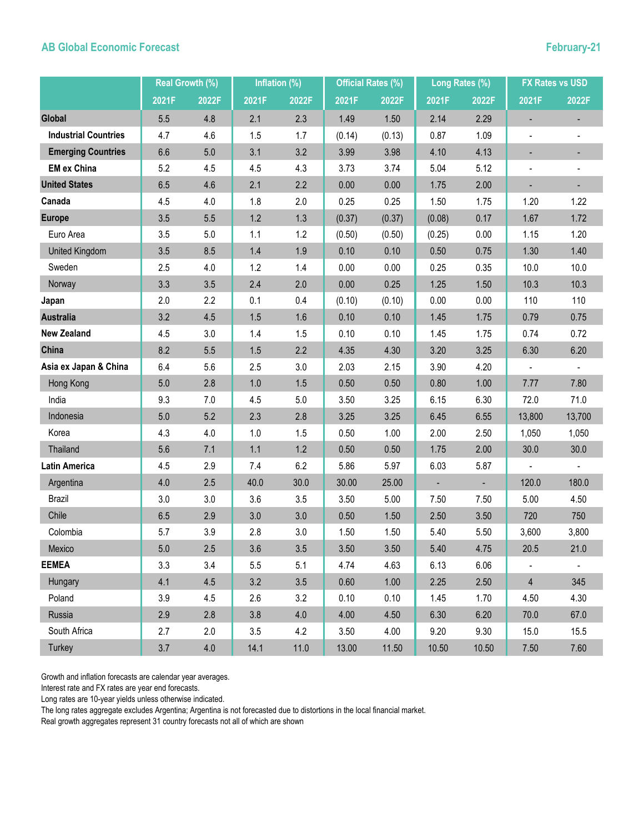## **AB Global Economic Forecast February-21**

|                             | Real Growth (%) |       | Inflation (%) |       | <b>Official Rates (%)</b> |        | Long Rates (%) |       | <b>FX Rates vs USD</b>   |                |
|-----------------------------|-----------------|-------|---------------|-------|---------------------------|--------|----------------|-------|--------------------------|----------------|
|                             | 2021F           | 2022F | 2021F         | 2022F | 2021F                     | 2022F  | 2021F          | 2022F | 2021F                    | 2022F          |
| <b>Global</b>               | 5.5             | 4.8   | 2.1           | 2.3   | 1.49                      | 1.50   | 2.14           | 2.29  |                          |                |
| <b>Industrial Countries</b> | 4.7             | 4.6   | 1.5           | 1.7   | (0.14)                    | (0.13) | 0.87           | 1.09  | $\blacksquare$           |                |
| <b>Emerging Countries</b>   | 6.6             | 5.0   | 3.1           | 3.2   | 3.99                      | 3.98   | 4.10           | 4.13  | -                        |                |
| <b>EM ex China</b>          | 5.2             | 4.5   | 4.5           | 4.3   | 3.73                      | 3.74   | 5.04           | 5.12  | $\overline{\phantom{0}}$ |                |
| <b>United States</b>        | 6.5             | 4.6   | 2.1           | 2.2   | 0.00                      | 0.00   | 1.75           | 2.00  |                          |                |
| Canada                      | 4.5             | 4.0   | 1.8           | 2.0   | 0.25                      | 0.25   | 1.50           | 1.75  | 1.20                     | 1.22           |
| <b>Europe</b>               | 3.5             | 5.5   | 1.2           | 1.3   | (0.37)                    | (0.37) | (0.08)         | 0.17  | 1.67                     | 1.72           |
| Euro Area                   | 3.5             | 5.0   | 1.1           | 1.2   | (0.50)                    | (0.50) | (0.25)         | 0.00  | 1.15                     | 1.20           |
| United Kingdom              | 3.5             | 8.5   | 1.4           | 1.9   | 0.10                      | 0.10   | 0.50           | 0.75  | 1.30                     | 1.40           |
| Sweden                      | 2.5             | 4.0   | 1.2           | 1.4   | 0.00                      | 0.00   | 0.25           | 0.35  | 10.0                     | 10.0           |
| Norway                      | 3.3             | 3.5   | 2.4           | 2.0   | 0.00                      | 0.25   | 1.25           | 1.50  | 10.3                     | 10.3           |
| Japan                       | 2.0             | 2.2   | 0.1           | 0.4   | (0.10)                    | (0.10) | 0.00           | 0.00  | 110                      | 110            |
| <b>Australia</b>            | 3.2             | 4.5   | 1.5           | 1.6   | 0.10                      | 0.10   | 1.45           | 1.75  | 0.79                     | 0.75           |
| <b>New Zealand</b>          | 4.5             | 3.0   | 1.4           | 1.5   | 0.10                      | 0.10   | 1.45           | 1.75  | 0.74                     | 0.72           |
| China                       | 8.2             | 5.5   | 1.5           | 2.2   | 4.35                      | 4.30   | 3.20           | 3.25  | 6.30                     | 6.20           |
| Asia ex Japan & China       | 6.4             | 5.6   | 2.5           | 3.0   | 2.03                      | 2.15   | 3.90           | 4.20  | ÷.                       | $\blacksquare$ |
| Hong Kong                   | 5.0             | 2.8   | 1.0           | 1.5   | 0.50                      | 0.50   | 0.80           | 1.00  | 7.77                     | 7.80           |
| India                       | 9.3             | 7.0   | 4.5           | 5.0   | 3.50                      | 3.25   | 6.15           | 6.30  | 72.0                     | 71.0           |
| Indonesia                   | 5.0             | 5.2   | 2.3           | 2.8   | 3.25                      | 3.25   | 6.45           | 6.55  | 13,800                   | 13,700         |
| Korea                       | 4.3             | 4.0   | 1.0           | 1.5   | 0.50                      | 1.00   | 2.00           | 2.50  | 1,050                    | 1,050          |
| Thailand                    | 5.6             | 7.1   | 1.1           | 1.2   | 0.50                      | 0.50   | 1.75           | 2.00  | 30.0                     | 30.0           |
| Latin America               | 4.5             | 2.9   | 7.4           | 6.2   | 5.86                      | 5.97   | 6.03           | 5.87  | $\blacksquare$           |                |
| Argentina                   | 4.0             | 2.5   | 40.0          | 30.0  | 30.00                     | 25.00  | $\blacksquare$ | ÷,    | 120.0                    | 180.0          |
| <b>Brazil</b>               | 3.0             | 3.0   | 3.6           | 3.5   | 3.50                      | 5.00   | 7.50           | 7.50  | 5.00                     | 4.50           |
| Chile                       | 6.5             | 2.9   | 3.0           | 3.0   | 0.50                      | $1.50$ | 2.50           | 3.50  | 720                      | 750            |
| Colombia                    | 5.7             | 3.9   | 2.8           | 3.0   | 1.50                      | 1.50   | 5.40           | 5.50  | 3,600                    | 3,800          |
| Mexico                      | $5.0\,$         | 2.5   | 3.6           | 3.5   | 3.50                      | 3.50   | 5.40           | 4.75  | 20.5                     | 21.0           |
| <b>EEMEA</b>                | 3.3             | 3.4   | 5.5           | 5.1   | 4.74                      | 4.63   | 6.13           | 6.06  | $\blacksquare$           | $\blacksquare$ |
| Hungary                     | 4.1             | 4.5   | 3.2           | 3.5   | 0.60                      | 1.00   | 2.25           | 2.50  | $\overline{4}$           | 345            |
| Poland                      | 3.9             | 4.5   | 2.6           | 3.2   | 0.10                      | 0.10   | 1.45           | 1.70  | 4.50                     | 4.30           |
| Russia                      | 2.9             | 2.8   | 3.8           | 4.0   | 4.00                      | 4.50   | 6.30           | 6.20  | 70.0                     | 67.0           |
| South Africa                | 2.7             | 2.0   | 3.5           | 4.2   | 3.50                      | 4.00   | 9.20           | 9.30  | 15.0                     | 15.5           |
| Turkey                      | 3.7             | $4.0$ | 14.1          | 11.0  | 13.00                     | 11.50  | 10.50          | 10.50 | 7.50                     | 7.60           |

Growth and inflation forecasts are calendar year averages.

Interest rate and FX rates are year end forecasts.

Long rates are 10-year yields unless otherwise indicated.

The long rates aggregate excludes Argentina; Argentina is not forecasted due to distortions in the local financial market.

Real growth aggregates represent 31 country forecasts not all of which are shown